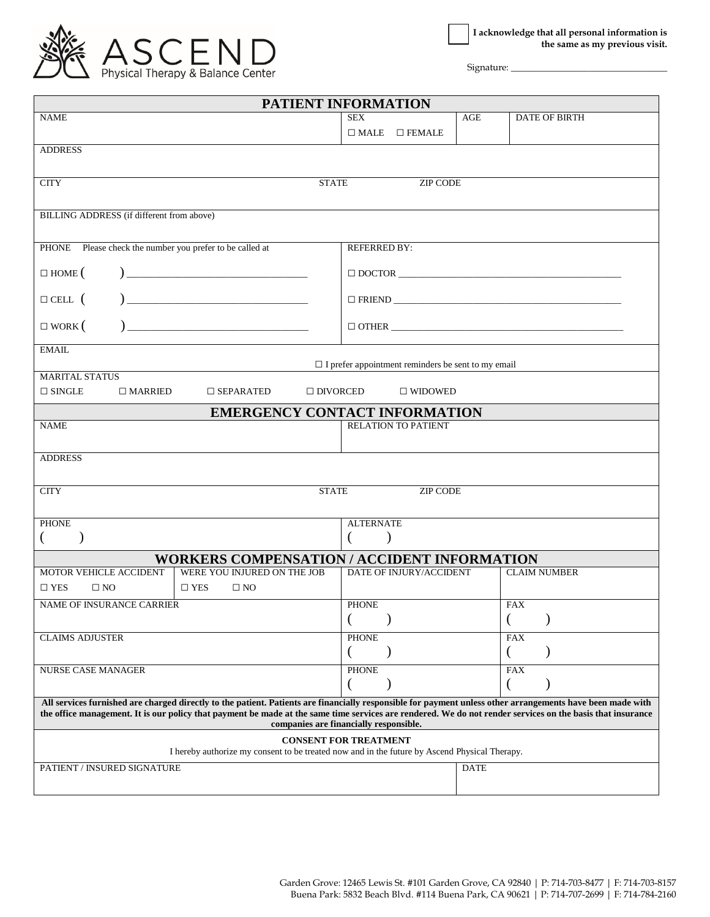

Signature:

| PATIENT INFORMATION                                                                                                                                                                                                                                                                                                                                                |                                                           |             |                      |  |
|--------------------------------------------------------------------------------------------------------------------------------------------------------------------------------------------------------------------------------------------------------------------------------------------------------------------------------------------------------------------|-----------------------------------------------------------|-------------|----------------------|--|
| <b>NAME</b>                                                                                                                                                                                                                                                                                                                                                        | <b>SEX</b>                                                | AGE         | <b>DATE OF BIRTH</b> |  |
|                                                                                                                                                                                                                                                                                                                                                                    | $\square$ MALE<br>$\square$ FEMALE                        |             |                      |  |
| <b>ADDRESS</b>                                                                                                                                                                                                                                                                                                                                                     |                                                           |             |                      |  |
|                                                                                                                                                                                                                                                                                                                                                                    |                                                           |             |                      |  |
| <b>CITY</b><br><b>STATE</b>                                                                                                                                                                                                                                                                                                                                        | <b>ZIP CODE</b>                                           |             |                      |  |
|                                                                                                                                                                                                                                                                                                                                                                    |                                                           |             |                      |  |
| <b>BILLING ADDRESS</b> (if different from above)                                                                                                                                                                                                                                                                                                                   |                                                           |             |                      |  |
|                                                                                                                                                                                                                                                                                                                                                                    |                                                           |             |                      |  |
| PHONE Please check the number you prefer to be called at                                                                                                                                                                                                                                                                                                           | <b>REFERRED BY:</b>                                       |             |                      |  |
|                                                                                                                                                                                                                                                                                                                                                                    |                                                           |             |                      |  |
| $\begin{tabular}{ c c c c } \hline \quad \quad & \quad \quad & \quad \quad & \quad \quad \\ \hline \end{tabular}$<br>$\Box$ HOME (                                                                                                                                                                                                                                 |                                                           |             |                      |  |
|                                                                                                                                                                                                                                                                                                                                                                    |                                                           |             |                      |  |
| $\begin{tabular}{ c c c c } \hline \quad \quad & \quad \quad & \quad \quad & \quad \quad \\ \hline \end{tabular}$<br>$\Box$ CELL $($                                                                                                                                                                                                                               |                                                           |             | $\Box$ FRIEND        |  |
| $\Box$ WORK (                                                                                                                                                                                                                                                                                                                                                      |                                                           |             | $\Box$ $\Box$ $\Box$ |  |
|                                                                                                                                                                                                                                                                                                                                                                    |                                                           |             |                      |  |
| <b>EMAIL</b>                                                                                                                                                                                                                                                                                                                                                       |                                                           |             |                      |  |
| <b>MARITAL STATUS</b>                                                                                                                                                                                                                                                                                                                                              | $\Box$ I prefer appointment reminders be sent to my email |             |                      |  |
| $\Box$ SINGLE<br>$\Box$ MARRIED<br>$\square$ SEPARATED<br>$\Box$ DIVORCED                                                                                                                                                                                                                                                                                          | $\square$ WIDOWED                                         |             |                      |  |
|                                                                                                                                                                                                                                                                                                                                                                    |                                                           |             |                      |  |
| <b>EMERGENCY CONTACT INFORMATION</b><br><b>NAME</b>                                                                                                                                                                                                                                                                                                                | <b>RELATION TO PATIENT</b>                                |             |                      |  |
|                                                                                                                                                                                                                                                                                                                                                                    |                                                           |             |                      |  |
|                                                                                                                                                                                                                                                                                                                                                                    |                                                           |             |                      |  |
| <b>ADDRESS</b>                                                                                                                                                                                                                                                                                                                                                     |                                                           |             |                      |  |
|                                                                                                                                                                                                                                                                                                                                                                    |                                                           |             |                      |  |
| <b>STATE</b><br><b>CITY</b>                                                                                                                                                                                                                                                                                                                                        | <b>ZIP CODE</b>                                           |             |                      |  |
|                                                                                                                                                                                                                                                                                                                                                                    |                                                           |             |                      |  |
| <b>PHONE</b>                                                                                                                                                                                                                                                                                                                                                       | <b>ALTERNATE</b>                                          |             |                      |  |
| $\lambda$<br>€                                                                                                                                                                                                                                                                                                                                                     | €<br>$\mathcal{E}$                                        |             |                      |  |
| <b>WORKERS COMPENSATION / ACCIDENT INFORMATION</b>                                                                                                                                                                                                                                                                                                                 |                                                           |             |                      |  |
| MOTOR VEHICLE ACCIDENT<br>WERE YOU INJURED ON THE JOB                                                                                                                                                                                                                                                                                                              | DATE OF INJURY/ACCIDENT                                   |             | <b>CLAIM NUMBER</b>  |  |
| $\square$ YES<br>$\square$ YES<br>$\square$ NO<br>$\square$ NO                                                                                                                                                                                                                                                                                                     |                                                           |             |                      |  |
| NAME OF INSURANCE CARRIER                                                                                                                                                                                                                                                                                                                                          | <b>PHONE</b>                                              |             | <b>FAX</b>           |  |
|                                                                                                                                                                                                                                                                                                                                                                    | $($ $)$                                                   |             | $($ $)$              |  |
| <b>CLAIMS ADJUSTER</b>                                                                                                                                                                                                                                                                                                                                             | <b>PHONE</b>                                              |             | <b>FAX</b>           |  |
|                                                                                                                                                                                                                                                                                                                                                                    | $\overline{(}$                                            |             | $\left($             |  |
| <b>NURSE CASE MANAGER</b>                                                                                                                                                                                                                                                                                                                                          | <b>PHONE</b>                                              |             | <b>FAX</b>           |  |
|                                                                                                                                                                                                                                                                                                                                                                    | €                                                         |             |                      |  |
| All services furnished are charged directly to the patient. Patients are financially responsible for payment unless other arrangements have been made with<br>the office management. It is our policy that payment be made at the same time services are rendered. We do not render services on the basis that insurance<br>companies are financially responsible. |                                                           |             |                      |  |
| I hereby authorize my consent to be treated now and in the future by Ascend Physical Therapy.                                                                                                                                                                                                                                                                      | <b>CONSENT FOR TREATMENT</b>                              |             |                      |  |
| PATIENT / INSURED SIGNATURE                                                                                                                                                                                                                                                                                                                                        |                                                           | <b>DATE</b> |                      |  |
|                                                                                                                                                                                                                                                                                                                                                                    |                                                           |             |                      |  |
|                                                                                                                                                                                                                                                                                                                                                                    |                                                           |             |                      |  |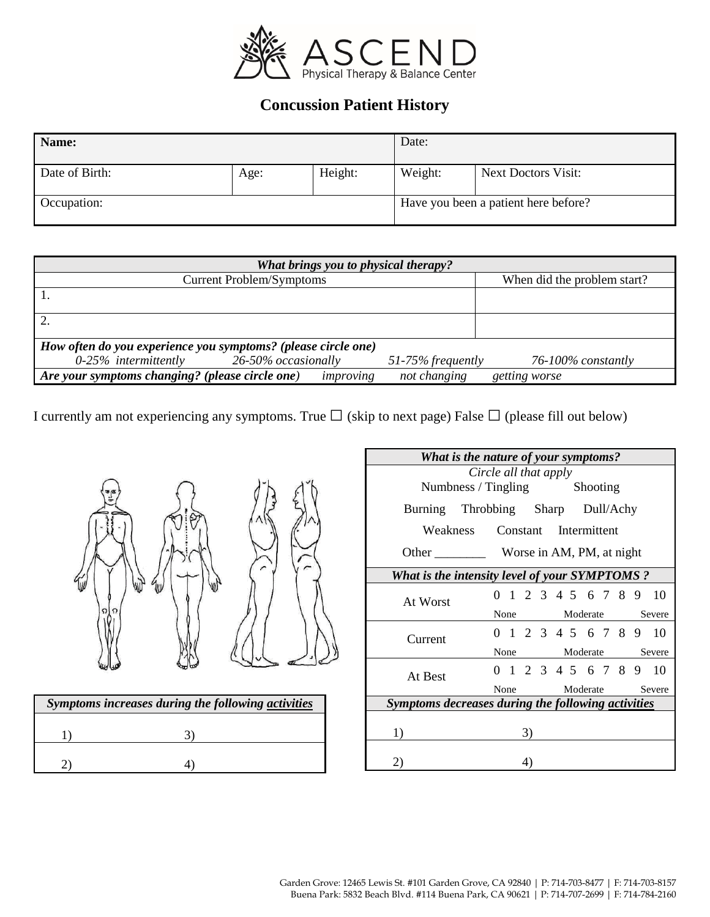

# **Concussion Patient History**

| Name:          |      |         | Date:   |                                      |
|----------------|------|---------|---------|--------------------------------------|
| Date of Birth: | Age: | Height: | Weight: | <b>Next Doctors Visit:</b>           |
| Occupation:    |      |         |         | Have you been a patient here before? |

| What brings you to physical therapy?                          |                                 |                      |                             |  |  |
|---------------------------------------------------------------|---------------------------------|----------------------|-----------------------------|--|--|
|                                                               | <b>Current Problem/Symptoms</b> |                      | When did the problem start? |  |  |
|                                                               |                                 |                      |                             |  |  |
|                                                               |                                 |                      |                             |  |  |
| How often do you experience you symptoms? (please circle one) |                                 |                      |                             |  |  |
| $0-25%$ intermittently                                        | 26-50% occasionally             | $51-75\%$ frequently | $76 - 100\%$ constantly     |  |  |
| Are your symptoms changing? (please circle one)               | improving                       | not changing         | getting worse               |  |  |

I currently am not experiencing any symptoms. True □(skip to next page) False □(please fill out below)



| Symptoms increases during the following activities |  |  |  |  |
|----------------------------------------------------|--|--|--|--|
|                                                    |  |  |  |  |
|                                                    |  |  |  |  |

| What is the nature of your symptoms?                 |                            |  |    |  |                 |  |               |  |  |                        |
|------------------------------------------------------|----------------------------|--|----|--|-----------------|--|---------------|--|--|------------------------|
| Circle all that apply                                |                            |  |    |  |                 |  |               |  |  |                        |
| Numbness / Tingling Shooting                         |                            |  |    |  |                 |  |               |  |  |                        |
| Burning Throbbing Sharp Dull/Achy                    |                            |  |    |  |                 |  |               |  |  |                        |
| Weakness Constant Intermittent                       |                            |  |    |  |                 |  |               |  |  |                        |
|                                                      |                            |  |    |  |                 |  |               |  |  |                        |
| <b>What is the intensity level of your SYMPTOMS?</b> |                            |  |    |  |                 |  |               |  |  |                        |
| At Worst                                             |                            |  |    |  |                 |  |               |  |  | 0 1 2 3 4 5 6 7 8 9 10 |
|                                                      |                            |  |    |  |                 |  | None Moderate |  |  | Severe                 |
| Current                                              |                            |  |    |  |                 |  |               |  |  | 0 1 2 3 4 5 6 7 8 9 10 |
|                                                      | None                       |  |    |  | Moderate Severe |  |               |  |  |                        |
| At Best                                              |                            |  |    |  |                 |  |               |  |  | 0 1 2 3 4 5 6 7 8 9 10 |
|                                                      | Severe<br>Moderate<br>None |  |    |  |                 |  |               |  |  |                        |
| Symptoms decreases during the following activities   |                            |  |    |  |                 |  |               |  |  |                        |
| 1)                                                   |                            |  | 3) |  |                 |  |               |  |  |                        |
|                                                      |                            |  |    |  |                 |  |               |  |  |                        |
| 2)                                                   |                            |  | 4) |  |                 |  |               |  |  |                        |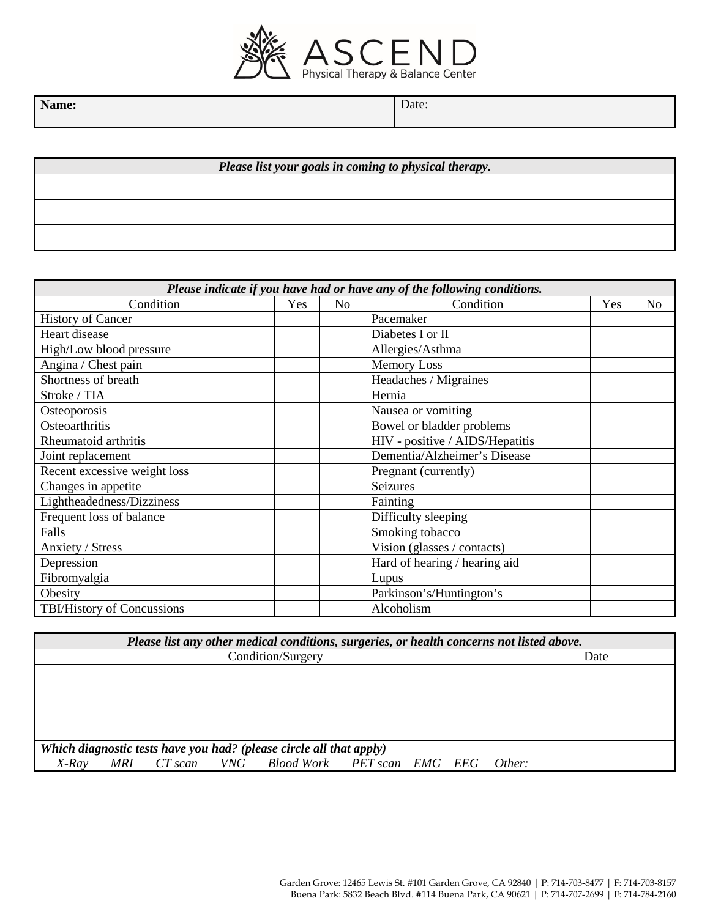

Name: Date: **Date:** Date:

*Please list your goals in coming to physical therapy.*

| Please indicate if you have had or have any of the following conditions. |     |    |                                 |     |                |
|--------------------------------------------------------------------------|-----|----|---------------------------------|-----|----------------|
| Condition                                                                | Yes | No | Condition                       | Yes | N <sub>o</sub> |
| <b>History of Cancer</b>                                                 |     |    | Pacemaker                       |     |                |
| Heart disease                                                            |     |    | Diabetes I or II                |     |                |
| High/Low blood pressure                                                  |     |    | Allergies/Asthma                |     |                |
| Angina / Chest pain                                                      |     |    | <b>Memory Loss</b>              |     |                |
| Shortness of breath                                                      |     |    | Headaches / Migraines           |     |                |
| Stroke / TIA                                                             |     |    | Hernia                          |     |                |
| Osteoporosis                                                             |     |    | Nausea or vomiting              |     |                |
| Osteoarthritis                                                           |     |    | Bowel or bladder problems       |     |                |
| Rheumatoid arthritis                                                     |     |    | HIV - positive / AIDS/Hepatitis |     |                |
| Joint replacement                                                        |     |    | Dementia/Alzheimer's Disease    |     |                |
| Recent excessive weight loss                                             |     |    | Pregnant (currently)            |     |                |
| Changes in appetite                                                      |     |    | Seizures                        |     |                |
| Lightheadedness/Dizziness                                                |     |    | Fainting                        |     |                |
| Frequent loss of balance                                                 |     |    | Difficulty sleeping             |     |                |
| Falls                                                                    |     |    | Smoking tobacco                 |     |                |
| Anxiety / Stress                                                         |     |    | Vision (glasses / contacts)     |     |                |
| Depression                                                               |     |    | Hard of hearing / hearing aid   |     |                |
| Fibromyalgia                                                             |     |    | Lupus                           |     |                |
| Obesity                                                                  |     |    | Parkinson's/Huntington's        |     |                |
| TBI/History of Concussions                                               |     |    | Alcoholism                      |     |                |

| Please list any other medical conditions, surgeries, or health concerns not listed above. |      |  |  |  |
|-------------------------------------------------------------------------------------------|------|--|--|--|
| Condition/Surgery                                                                         | Date |  |  |  |
|                                                                                           |      |  |  |  |
|                                                                                           |      |  |  |  |
|                                                                                           |      |  |  |  |
| Which diagnostic tests have you had? (please circle all that apply)                       |      |  |  |  |
| MRI CT scan VNG Blood Work PET scan EMG EEG Other:<br>$X$ -Ray                            |      |  |  |  |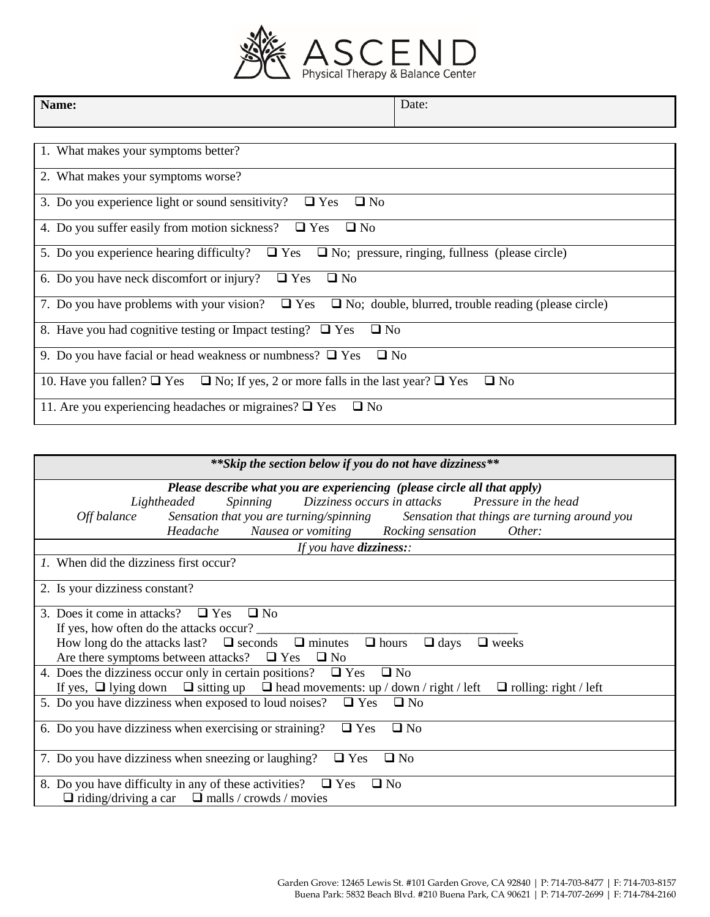

٦

| Name:                                                                                                            | Date:        |
|------------------------------------------------------------------------------------------------------------------|--------------|
|                                                                                                                  |              |
| 1. What makes your symptoms better?                                                                              |              |
| 2. What makes your symptoms worse?                                                                               |              |
| 3. Do you experience light or sound sensitivity? $\Box$ Yes<br>$\Box$ No                                         |              |
| 4. Do you suffer easily from motion sickness? $\Box$ Yes<br>$\Box$ No                                            |              |
| 5. Do you experience hearing difficulty? $\Box$ Yes $\Box$ No; pressure, ringing, fullness (please circle)       |              |
| 6. Do you have neck discomfort or injury?<br>$\Box$ Yes<br>$\square$ No                                          |              |
| 7. Do you have problems with your vision? $\Box$ Yes $\Box$ No; double, blurred, trouble reading (please circle) |              |
| 8. Have you had cognitive testing or Impact testing? $\Box$ Yes<br>$\Box$ No                                     |              |
| 9. Do you have facial or head weakness or numbness? $\Box$ Yes<br>$\Box$ No                                      |              |
| 10. Have you fallen? $\Box$ Yes $\Box$ No; If yes, 2 or more falls in the last year? $\Box$ Yes                  | $\square$ No |
| 11. Are you experiencing headaches or migraines? $\Box$ Yes<br>$\square$ No                                      |              |

| ** Skip the section below if you do not have dizziness**                                                                                                                                                                                                                                                         |  |  |  |
|------------------------------------------------------------------------------------------------------------------------------------------------------------------------------------------------------------------------------------------------------------------------------------------------------------------|--|--|--|
| Please describe what you are experiencing (please circle all that apply)<br>Spinning Dizziness occurs in attacks Pressure in the head<br>Lightheaded<br>Off balance Sensation that you are turning/spinning Sensation that things are turning around you<br>Headache Nausea or vomiting Rocking sensation Other: |  |  |  |
| If you have dizziness::                                                                                                                                                                                                                                                                                          |  |  |  |
| 1. When did the dizziness first occur?                                                                                                                                                                                                                                                                           |  |  |  |
| 2. Is your dizziness constant?                                                                                                                                                                                                                                                                                   |  |  |  |
| 3. Does it come in attacks? $\Box$ Yes $\Box$ No                                                                                                                                                                                                                                                                 |  |  |  |
| If yes, how often do the attacks occur?                                                                                                                                                                                                                                                                          |  |  |  |
| How long do the attacks last? $\Box$ seconds $\Box$ minutes $\Box$ hours $\Box$ days<br>$\Box$ weeks                                                                                                                                                                                                             |  |  |  |
| Are there symptoms between attacks? $\Box$ Yes $\Box$ No                                                                                                                                                                                                                                                         |  |  |  |
| 4. Does the dizziness occur only in certain positions? $\Box$ Yes<br>$\Box$ No                                                                                                                                                                                                                                   |  |  |  |
| If yes, $\Box$ lying down $\Box$ sitting up $\Box$ head movements: up / down / right / left<br>$\Box$ rolling: right / left                                                                                                                                                                                      |  |  |  |
| 5. Do you have dizziness when exposed to loud noises? $\Box$ Yes $\Box$ No                                                                                                                                                                                                                                       |  |  |  |
| 6. Do you have dizziness when exercising or straining?<br>$\Box$ Yes<br>$\square$ No                                                                                                                                                                                                                             |  |  |  |
| $\Box$ Yes<br>7. Do you have dizziness when sneezing or laughing?<br>$\Box$ No                                                                                                                                                                                                                                   |  |  |  |
| 8. Do you have difficulty in any of these activities? $\Box$ Yes<br>$\square$ No                                                                                                                                                                                                                                 |  |  |  |
| $\Box$ riding/driving a car $\Box$ malls / crowds / movies                                                                                                                                                                                                                                                       |  |  |  |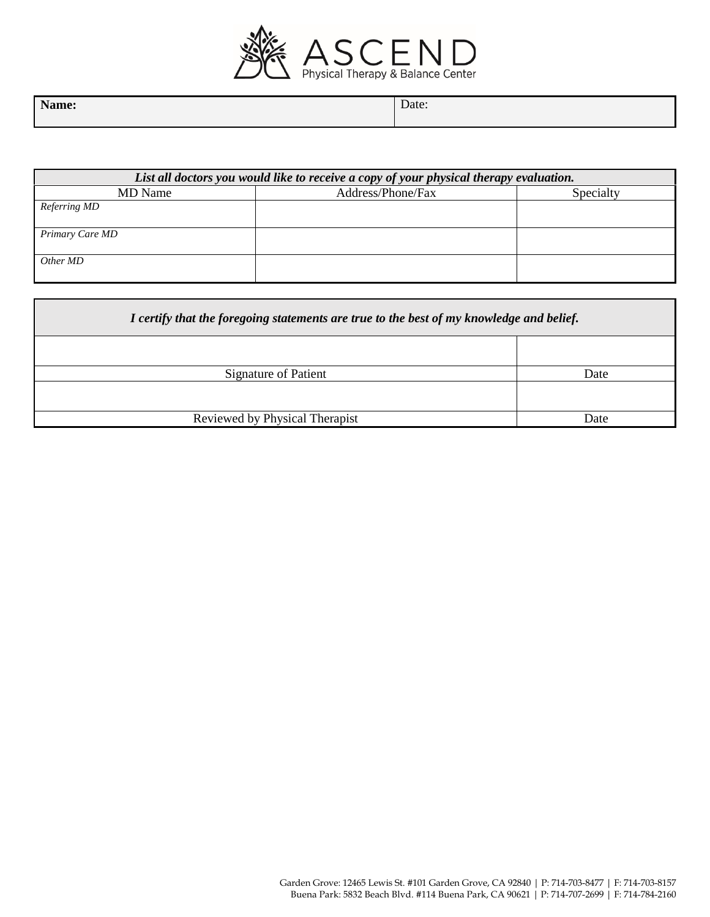

| $N_{\text{omor}}$ | $\overline{\phantom{0}}$ |
|-------------------|--------------------------|
| Name:             | Date:                    |
|                   |                          |

| List all doctors you would like to receive a copy of your physical therapy evaluation. |                   |           |  |  |
|----------------------------------------------------------------------------------------|-------------------|-----------|--|--|
| MD Name                                                                                | Address/Phone/Fax | Specialty |  |  |
| Referring MD                                                                           |                   |           |  |  |
|                                                                                        |                   |           |  |  |
| Primary Care MD                                                                        |                   |           |  |  |
|                                                                                        |                   |           |  |  |
| Other MD                                                                               |                   |           |  |  |
|                                                                                        |                   |           |  |  |

| I certify that the foregoing statements are true to the best of my knowledge and belief. |      |  |  |
|------------------------------------------------------------------------------------------|------|--|--|
|                                                                                          |      |  |  |
| Signature of Patient                                                                     | Date |  |  |
| Reviewed by Physical Therapist<br>Date                                                   |      |  |  |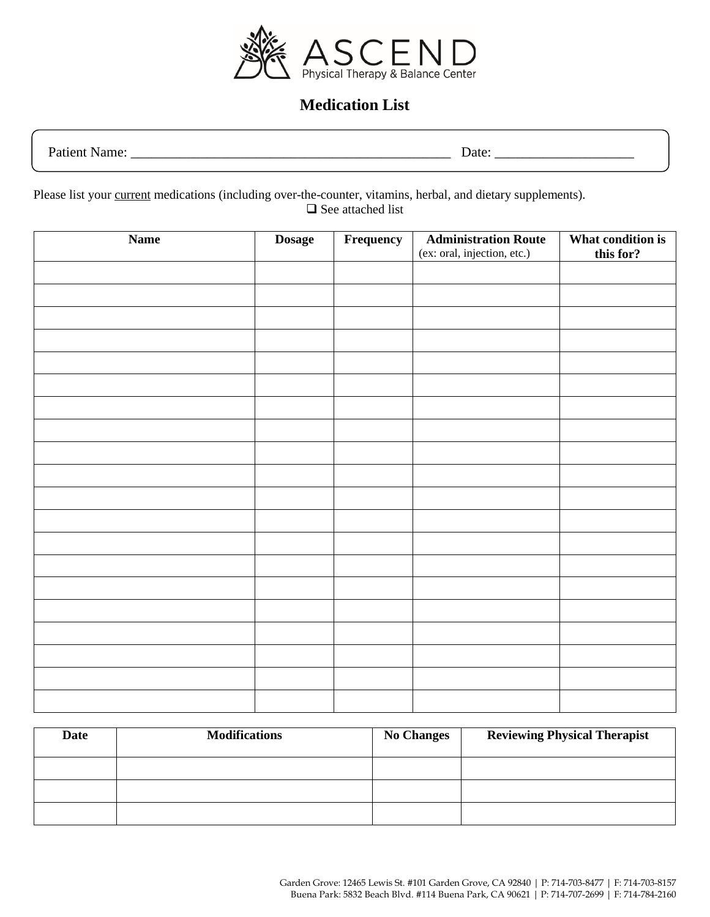

## **Medication List**

Patient Name: \_\_\_\_\_\_\_\_\_\_\_\_\_\_\_\_\_\_\_\_\_\_\_\_\_\_\_\_\_\_\_\_\_\_\_\_\_\_\_\_\_\_\_\_\_\_ Date: \_\_\_\_\_\_\_\_\_\_\_\_\_\_\_\_\_\_\_\_

Please list your current medications (including over-the-counter, vitamins, herbal, and dietary supplements). □ See attached list

| <b>Name</b> | <b>Dosage</b> | Frequency | What condition is<br><b>Administration Route</b><br>(ex: oral, injection, etc.) |           |
|-------------|---------------|-----------|---------------------------------------------------------------------------------|-----------|
|             |               |           |                                                                                 | this for? |
|             |               |           |                                                                                 |           |
|             |               |           |                                                                                 |           |
|             |               |           |                                                                                 |           |
|             |               |           |                                                                                 |           |
|             |               |           |                                                                                 |           |
|             |               |           |                                                                                 |           |
|             |               |           |                                                                                 |           |
|             |               |           |                                                                                 |           |
|             |               |           |                                                                                 |           |
|             |               |           |                                                                                 |           |
|             |               |           |                                                                                 |           |
|             |               |           |                                                                                 |           |
|             |               |           |                                                                                 |           |
|             |               |           |                                                                                 |           |
|             |               |           |                                                                                 |           |
|             |               |           |                                                                                 |           |
|             |               |           |                                                                                 |           |
|             |               |           |                                                                                 |           |
|             |               |           |                                                                                 |           |

| Date | <b>Modifications</b> | <b>No Changes</b> | <b>Reviewing Physical Therapist</b> |
|------|----------------------|-------------------|-------------------------------------|
|      |                      |                   |                                     |
|      |                      |                   |                                     |
|      |                      |                   |                                     |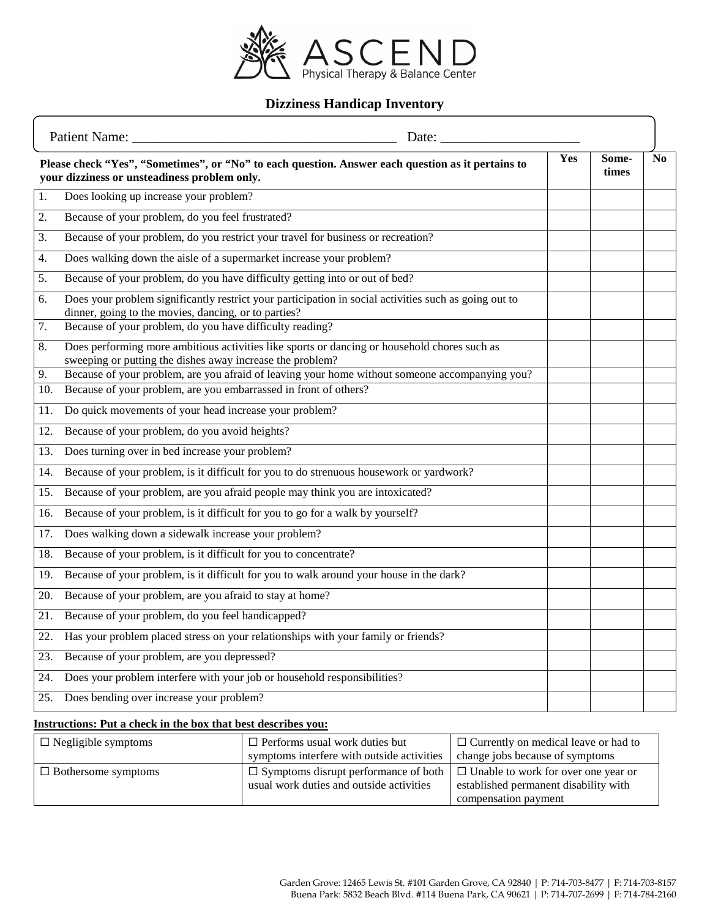

### **Dizziness Handicap Inventory**

| <b>Patient Name:</b><br>Date: |                                                                                                                                                               |  |     |                |                |
|-------------------------------|---------------------------------------------------------------------------------------------------------------------------------------------------------------|--|-----|----------------|----------------|
|                               | Please check "Yes", "Sometimes", or "No" to each question. Answer each question as it pertains to<br>your dizziness or unsteadiness problem only.             |  | Yes | Some-<br>times | N <sub>0</sub> |
| 1.                            | Does looking up increase your problem?                                                                                                                        |  |     |                |                |
| 2.                            | Because of your problem, do you feel frustrated?                                                                                                              |  |     |                |                |
| 3.                            | Because of your problem, do you restrict your travel for business or recreation?                                                                              |  |     |                |                |
| 4.                            | Does walking down the aisle of a supermarket increase your problem?                                                                                           |  |     |                |                |
| 5.                            | Because of your problem, do you have difficulty getting into or out of bed?                                                                                   |  |     |                |                |
| 6.                            | Does your problem significantly restrict your participation in social activities such as going out to<br>dinner, going to the movies, dancing, or to parties? |  |     |                |                |
| $\overline{7}$ .              | Because of your problem, do you have difficulty reading?                                                                                                      |  |     |                |                |
| 8.                            | Does performing more ambitious activities like sports or dancing or household chores such as<br>sweeping or putting the dishes away increase the problem?     |  |     |                |                |
| 9.                            | Because of your problem, are you afraid of leaving your home without someone accompanying you?                                                                |  |     |                |                |
| 10.                           | Because of your problem, are you embarrassed in front of others?                                                                                              |  |     |                |                |
| 11.                           | Do quick movements of your head increase your problem?                                                                                                        |  |     |                |                |
| 12.                           | Because of your problem, do you avoid heights?                                                                                                                |  |     |                |                |
| 13.                           | Does turning over in bed increase your problem?                                                                                                               |  |     |                |                |
| 14.                           | Because of your problem, is it difficult for you to do strenuous housework or yardwork?                                                                       |  |     |                |                |
| 15.                           | Because of your problem, are you afraid people may think you are intoxicated?                                                                                 |  |     |                |                |
| 16.                           | Because of your problem, is it difficult for you to go for a walk by yourself?                                                                                |  |     |                |                |
| 17.                           | Does walking down a sidewalk increase your problem?                                                                                                           |  |     |                |                |
| 18.                           | Because of your problem, is it difficult for you to concentrate?                                                                                              |  |     |                |                |
| 19.                           | Because of your problem, is it difficult for you to walk around your house in the dark?                                                                       |  |     |                |                |
| 20.                           | Because of your problem, are you afraid to stay at home?                                                                                                      |  |     |                |                |
| 21.                           | Because of your problem, do you feel handicapped?                                                                                                             |  |     |                |                |
| 22.                           | Has your problem placed stress on your relationships with your family or friends?                                                                             |  |     |                |                |
| 23.                           | Because of your problem, are you depressed?                                                                                                                   |  |     |                |                |
| 24.                           | Does your problem interfere with your job or household responsibilities?                                                                                      |  |     |                |                |
| 25.                           | Does bending over increase your problem?                                                                                                                      |  |     |                |                |
|                               |                                                                                                                                                               |  |     |                |                |

#### **Instructions: Put a check in the box that best describes you:**

| $\Box$ Negligible symptoms | $\Box$ Performs usual work duties but       | $\Box$ Currently on medical leave or had to |  |  |
|----------------------------|---------------------------------------------|---------------------------------------------|--|--|
|                            | symptoms interfere with outside activities  | change jobs because of symptoms             |  |  |
| $\Box$ Bothersome symptoms | $\Box$ Symptoms disrupt performance of both | $\Box$ Unable to work for over one year or  |  |  |
|                            | usual work duties and outside activities    | established permanent disability with       |  |  |
|                            |                                             | compensation payment                        |  |  |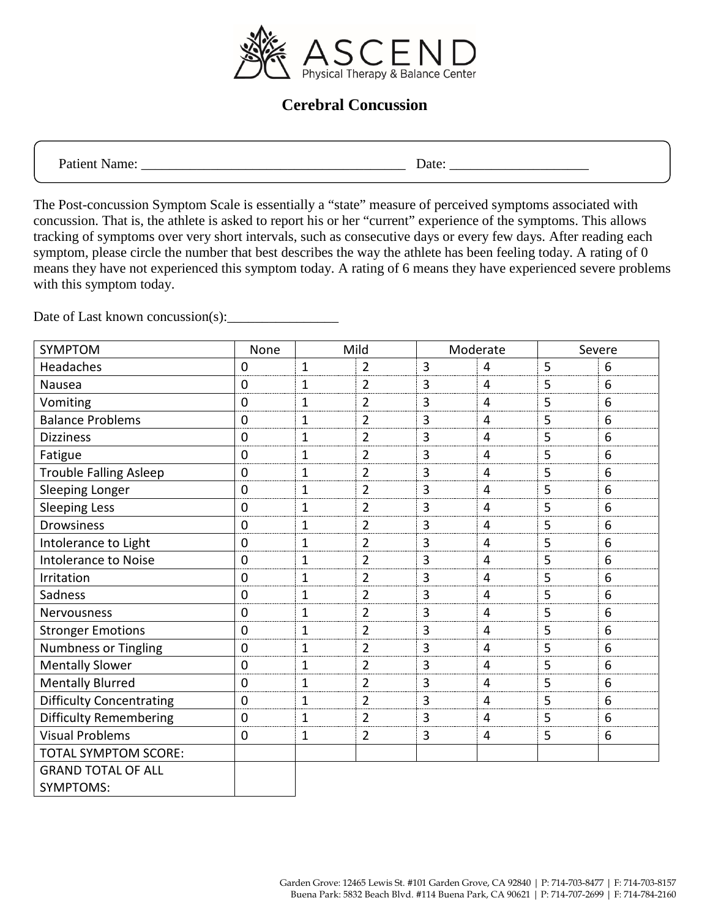

### **Cerebral Concussion**

Patient Name: \_\_\_\_\_\_\_\_\_\_\_\_\_\_\_\_\_\_\_\_\_\_\_\_\_\_\_\_\_\_\_\_\_\_\_\_\_\_ Date: \_\_\_\_\_\_\_\_\_\_\_\_\_\_\_\_\_\_\_\_

The Post-concussion Symptom Scale is essentially a "state" measure of perceived symptoms associated with concussion. That is, the athlete is asked to report his or her "current" experience of the symptoms. This allows tracking of symptoms over very short intervals, such as consecutive days or every few days. After reading each symptom, please circle the number that best describes the way the athlete has been feeling today. A rating of 0 means they have not experienced this symptom today. A rating of 6 means they have experienced severe problems with this symptom today.

Date of Last known concussion(s):

| SYMPTOM                         | None        | Mild<br>Moderate |                |                | Severe         |   |   |
|---------------------------------|-------------|------------------|----------------|----------------|----------------|---|---|
| Headaches                       | 0           | 1                | $\overline{2}$ | $\overline{3}$ | 4              | 5 | 6 |
| Nausea                          | 0           | 1                | $\overline{2}$ | 3              | 4              | 5 | 6 |
| Vomiting                        | 0           | $\mathbf 1$      | $\overline{2}$ | 3              | 4              | 5 | 6 |
| <b>Balance Problems</b>         | 0           | $\mathbf{1}$     | $\overline{2}$ | 3              | 4              | 5 | 6 |
| <b>Dizziness</b>                | 0           | $\mathbf 1$      | $\overline{2}$ | $\overline{3}$ | $\overline{4}$ | 5 | 6 |
| Fatigue                         | 0           | $\mathbf{1}$     | $\overline{2}$ | 3              | $\overline{4}$ | 5 | 6 |
| <b>Trouble Falling Asleep</b>   | 0           | $\mathbf 1$      | $\overline{2}$ | 3              | $\overline{4}$ | 5 | 6 |
| Sleeping Longer                 | 0           | $\mathbf 1$      | $\overline{2}$ | 3              | $\overline{4}$ | 5 | 6 |
| <b>Sleeping Less</b>            | $\mathbf 0$ | 1                | $\overline{2}$ | 3              | 4              | 5 | 6 |
| <b>Drowsiness</b>               | $\mathbf 0$ | $\mathbf{1}$     | $\overline{2}$ | 3              | $\overline{4}$ | 5 | 6 |
| Intolerance to Light            | $\mathbf 0$ | $\mathbf{1}$     | $\overline{2}$ | $\overline{3}$ | $\overline{4}$ | 5 | 6 |
| <b>Intolerance to Noise</b>     | $\mathbf 0$ | $\mathbf{1}$     | $\overline{2}$ | 3              | $\overline{4}$ | 5 | 6 |
| Irritation                      | $\mathbf 0$ | $\mathbf 1$      | $\overline{2}$ | 3              | $\overline{4}$ | 5 | 6 |
| Sadness                         | 0           | $\mathbf{1}$     | $\overline{2}$ | 3              | $\overline{4}$ | 5 | 6 |
| Nervousness                     | 0           | $\mathbf 1$      | $\overline{2}$ | 3              | $\overline{4}$ | 5 | 6 |
| <b>Stronger Emotions</b>        | 0           | $\mathbf 1$      | $\overline{2}$ | 3              | 4              | 5 | 6 |
| <b>Numbness or Tingling</b>     | 0           | $\mathbf 1$      | $\overline{2}$ | 3              | $\overline{4}$ | 5 | 6 |
| <b>Mentally Slower</b>          | $\mathbf 0$ | $\mathbf 1$      | $\overline{2}$ | 3              | 4              | 5 | 6 |
| <b>Mentally Blurred</b>         | $\mathbf 0$ | $\mathbf{1}$     | $\overline{2}$ | $\overline{3}$ | $\overline{4}$ | 5 | 6 |
| <b>Difficulty Concentrating</b> | $\mathbf 0$ | $\mathbf{1}$     | $\overline{2}$ | $\overline{3}$ | $\overline{4}$ | 5 | 6 |
| <b>Difficulty Remembering</b>   | $\mathbf 0$ | $\mathbf{1}$     | $\overline{2}$ | 3              | 4              | 5 | 6 |
| <b>Visual Problems</b>          | 0           | $\mathbf 1$      | $\overline{2}$ | 3              | 4              | 5 | 6 |
| <b>TOTAL SYMPTOM SCORE:</b>     |             |                  |                |                |                |   |   |
| <b>GRAND TOTAL OF ALL</b>       |             |                  |                |                |                |   |   |
| <b>SYMPTOMS:</b>                |             |                  |                |                |                |   |   |